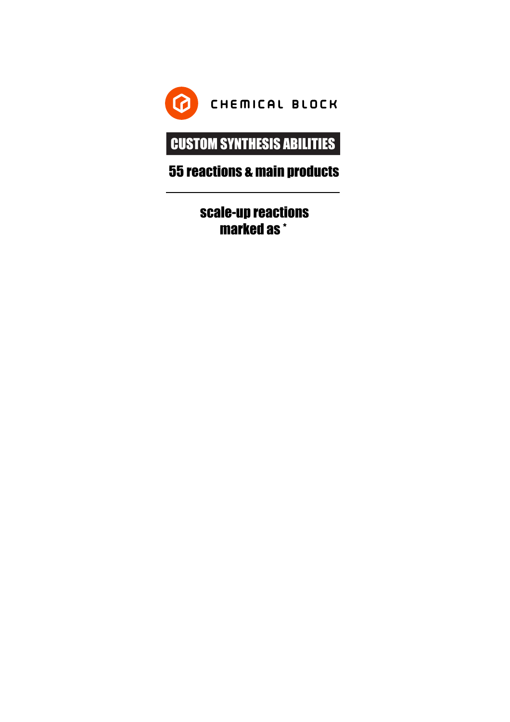

# CUSTOM SYNTHESIS ABILITIES

# 55 reactions & main products

scale-up reactions marked as \*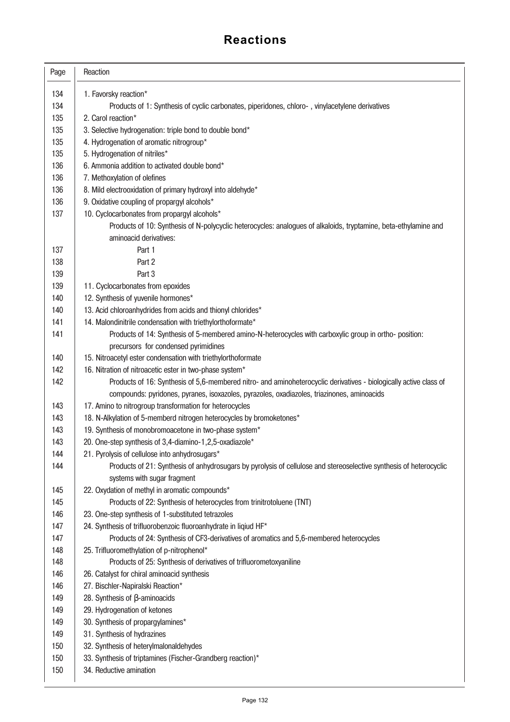| Page | Reaction                                                                                                           |
|------|--------------------------------------------------------------------------------------------------------------------|
| 134  | 1. Favorsky reaction*                                                                                              |
| 134  | Products of 1: Synthesis of cyclic carbonates, piperidones, chloro-, vinylacetylene derivatives                    |
| 135  | 2. Carol reaction*                                                                                                 |
| 135  | 3. Selective hydrogenation: triple bond to double bond*                                                            |
| 135  | 4. Hydrogenation of aromatic nitrogroup*                                                                           |
| 135  | 5. Hydrogenation of nitriles*                                                                                      |
| 136  | 6. Ammonia addition to activated double bond*                                                                      |
| 136  | 7. Methoxylation of olefines                                                                                       |
| 136  | 8. Mild electrooxidation of primary hydroxyl into aldehyde*                                                        |
| 136  | 9. Oxidative coupling of propargyl alcohols*                                                                       |
| 137  | 10. Cyclocarbonates from propargyl alcohols*                                                                       |
|      | Products of 10: Synthesis of N-polycyclic heterocycles: analogues of alkaloids, tryptamine, beta-ethylamine and    |
|      | aminoacid derivatives:                                                                                             |
| 137  | Part 1                                                                                                             |
| 138  | Part 2                                                                                                             |
| 139  | Part 3                                                                                                             |
| 139  | 11. Cyclocarbonates from epoxides                                                                                  |
| 140  | 12. Synthesis of yuvenile hormones*                                                                                |
| 140  | 13. Acid chloroanhydrides from acids and thionyl chlorides*                                                        |
| 141  | 14. Malondinitrile condensation with triethylorthoformate*                                                         |
| 141  | Products of 14: Synthesis of 5-membered amino-N-heterocycles with carboxylic group in ortho- position:             |
|      | precursors for condensed pyrimidines                                                                               |
| 140  | 15. Nitroacetyl ester condensation with triethylorthoformate                                                       |
| 142  | 16. Nitration of nitroacetic ester in two-phase system*                                                            |
| 142  | Products of 16: Synthesis of 5,6-membered nitro- and aminoheterocyclic derivatives - biologically active class of  |
|      | compounds: pyridones, pyranes, isoxazoles, pyrazoles, oxadiazoles, triazinones, aminoacids                         |
| 143  | 17. Amino to nitrogroup transformation for heterocycles                                                            |
| 143  | 18. N-Alkylation of 5-memberd nitrogen heterocycles by bromoketones*                                               |
| 143  | 19. Synthesis of monobromoacetone in two-phase system*                                                             |
| 143  | 20. One-step synthesis of 3,4-diamino-1,2,5-oxadiazole*                                                            |
| 144  | 21. Pyrolysis of cellulose into anhydrosugars*                                                                     |
| 144  | Products of 21: Synthesis of anhydrosugars by pyrolysis of cellulose and stereoselective synthesis of heterocyclic |
|      | systems with sugar fragment                                                                                        |
| 145  | 22. Oxydation of methyl in aromatic compounds*                                                                     |
| 145  | Products of 22: Synthesis of heterocycles from trinitrotoluene (TNT)                                               |
| 146  | 23. One-step synthesis of 1-substituted tetrazoles                                                                 |
| 147  | 24. Synthesis of trifluorobenzoic fluoroanhydrate in liqiud HF*                                                    |
| 147  | Products of 24: Synthesis of CF3-derivatives of aromatics and 5,6-membered heterocycles                            |
| 148  | 25. Trifluoromethylation of p-nitrophenol*                                                                         |
| 148  | Products of 25: Synthesis of derivatives of trifluorometoxyaniline                                                 |
| 146  | 26. Catalyst for chiral aminoacid synthesis                                                                        |
| 146  | 27. Bischler-Napiralski Reaction*                                                                                  |
| 149  | 28. Synthesis of $\beta$ -aminoacids                                                                               |
| 149  | 29. Hydrogenation of ketones                                                                                       |
| 149  | 30. Synthesis of propargylamines*                                                                                  |
| 149  | 31. Synthesis of hydrazines                                                                                        |
| 150  | 32. Synthesis of heterylmalonaldehydes                                                                             |
| 150  | 33. Synthesis of triptamines (Fischer-Grandberg reaction)*                                                         |
| 150  | 34. Reductive amination                                                                                            |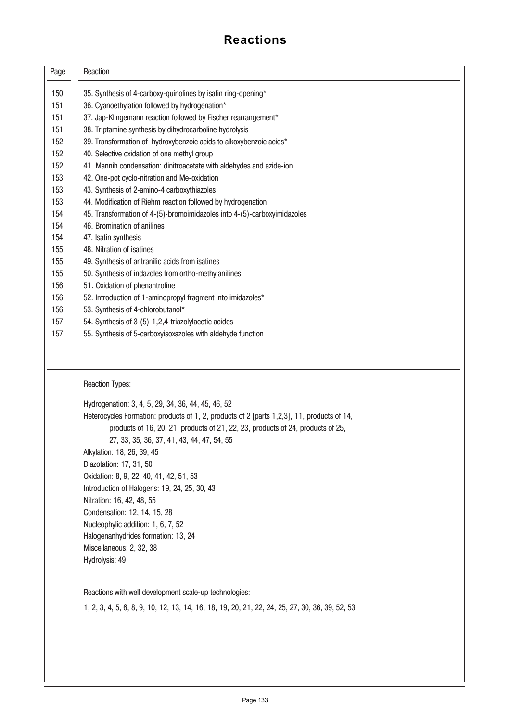| Page | Reaction                                                                                       |
|------|------------------------------------------------------------------------------------------------|
| 150  | 35. Synthesis of 4-carboxy-quinolines by isatin ring-opening*                                  |
| 151  | 36. Cyanoethylation followed by hydrogenation*                                                 |
| 151  | 37. Jap-Klingemann reaction followed by Fischer rearrangement*                                 |
| 151  | 38. Triptamine synthesis by dihydrocarboline hydrolysis                                        |
| 152  | 39. Transformation of hydroxybenzoic acids to alkoxybenzoic acids*                             |
| 152  | 40. Selective oxidation of one methyl group                                                    |
| 152  | 41. Mannih condensation: dinitroacetate with aldehydes and azide-ion                           |
| 153  | 42. One-pot cyclo-nitration and Me-oxidation                                                   |
| 153  | 43. Synthesis of 2-amino-4 carboxythiazoles                                                    |
| 153  | 44. Modification of Riehm reaction followed by hydrogenation                                   |
| 154  | 45. Transformation of 4-(5)-bromoimidazoles into 4-(5)-carboxyimidazoles                       |
| 154  | 46. Bromination of anilines                                                                    |
| 154  | 47. Isatin synthesis                                                                           |
| 155  | 48. Nitration of isatines                                                                      |
| 155  | 49. Synthesis of antranilic acids from isatines                                                |
| 155  | 50. Synthesis of indazoles from ortho-methylanilines                                           |
| 156  | 51. Oxidation of phenantroline                                                                 |
| 156  | 52. Introduction of 1-aminopropyl fragment into imidazoles*                                    |
| 156  | 53. Synthesis of 4-chlorobutanol*                                                              |
| 157  | 54. Synthesis of 3-(5)-1,2,4-triazolylacetic acides                                            |
| 157  | 55. Synthesis of 5-carboxyisoxazoles with aldehyde function                                    |
|      |                                                                                                |
|      | <b>Reaction Types:</b>                                                                         |
|      | Hydrogenation: 3, 4, 5, 29, 34, 36, 44, 45, 46, 52                                             |
|      | Heterocycles Formation: products of 1, 2, products of 2 [parts 1,2,3], 11, products of 14,     |
|      | products of 16, 20, 21, products of 21, 22, 23, products of 24, products of 25,                |
|      | 27, 33, 35, 36, 37, 41, 43, 44, 47, 54, 55                                                     |
|      | Alkylation: 18, 26, 39, 45                                                                     |
|      | Diazotation: 17, 31, 50                                                                        |
|      | Oxidation: 8, 9, 22, 40, 41, 42, 51, 53                                                        |
|      | Introduction of Halogens: 19, 24, 25, 30, 43                                                   |
|      | Nitration: 16, 42, 48, 55                                                                      |
|      | Condensation: 12, 14, 15, 28                                                                   |
|      | Nucleophylic addition: 1, 6, 7, 52                                                             |
|      | Halogenanhydrides formation: 13, 24                                                            |
|      | Miscellaneous: 2, 32, 38                                                                       |
|      | Hydrolysis: 49                                                                                 |
|      |                                                                                                |
|      | Reactions with well development scale-up technologies:                                         |
|      | 1, 2, 3, 4, 5, 6, 8, 9, 10, 12, 13, 14, 16, 18, 19, 20, 21, 22, 24, 25, 27, 30, 36, 39, 52, 53 |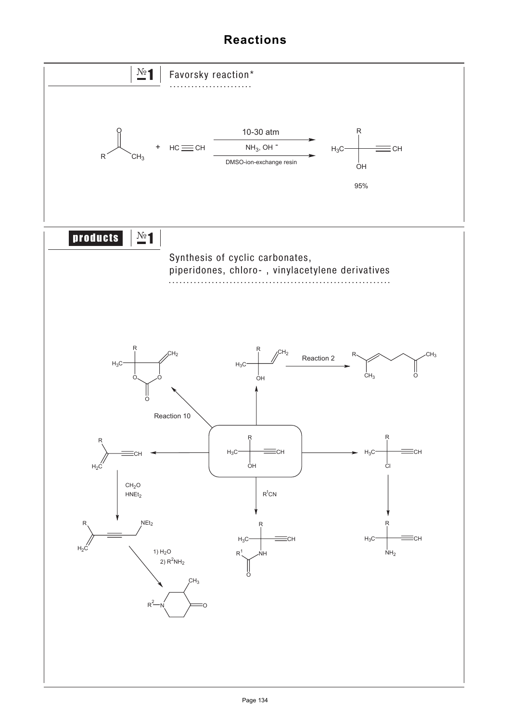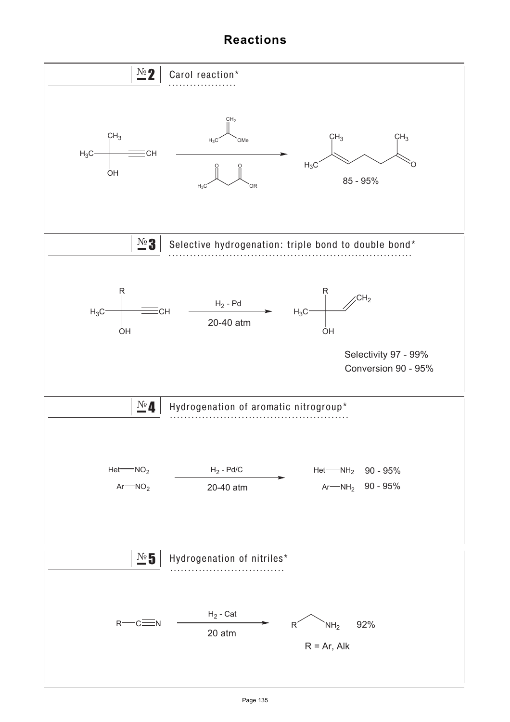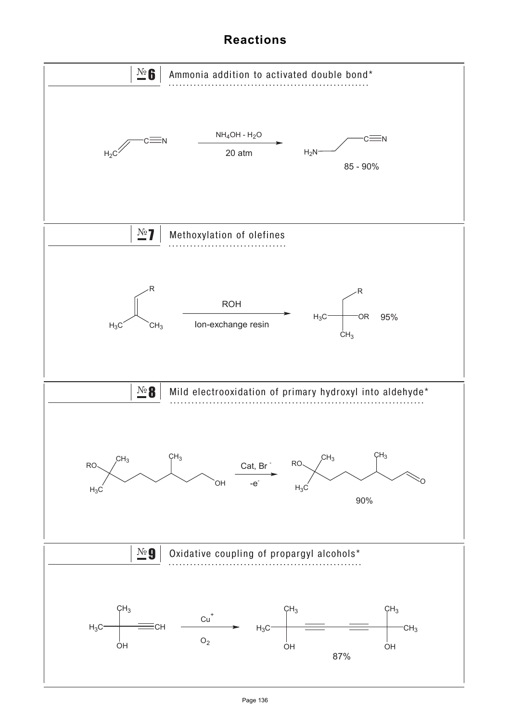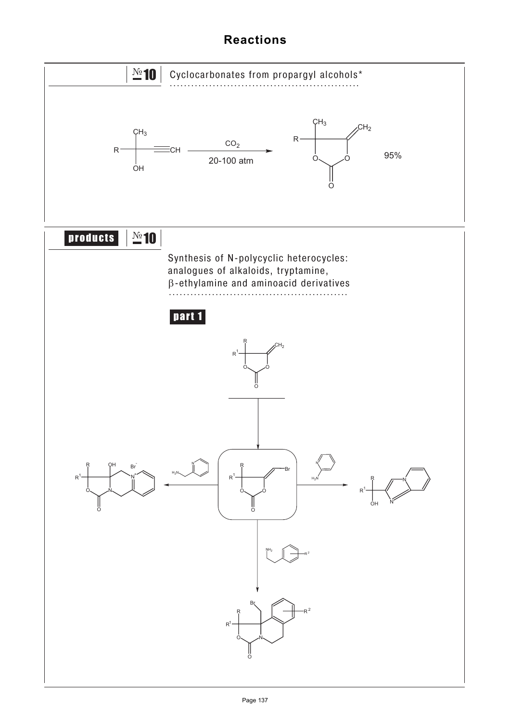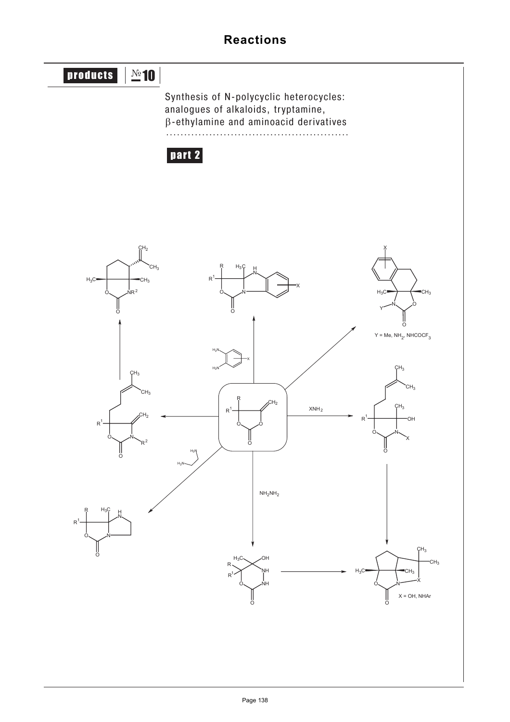#### products | No 10 part 2 Synthesis of N-polycyclic heterocycles: analogues of alkaloids, tryptamine, βethylamine and aminoacid derivatives ...................................................  $0$   $0$  $\frac{1}{c}$ R R1  $H<sub>2</sub>$ 0 N O  $R^1$  $\mathsf{CH}_2$ CH<sub>3</sub> CH<sub>3</sub>  $R^2$  $0\sim$   $NR^2$ O  $H_3C \longrightarrow \longrightarrow CH_3$  $\mathsf{CH}_3$  $\overline{G}H_2$ O N O R1  $\varsigma$ H $_3$ CH<sub>3</sub> X OH ςH<sub>3</sub> 0 N O  $H_3C \longrightarrow$  CH<sub>3</sub> X CH<sub>3</sub> CH<sub>2</sub>  $X = OH$ , NHAr NH O<sub>V</sub>NH  $H_3C \sim$  OH R R1 O  $N$   $\sim$  0 O  $H_3C \longrightarrow \leftarrow CH_3$ Y X 0、 *N* O R <sup>R</sup><sup>1</sup> <sup>N</sup>  $H_3$ X O N O R <sup>R</sup><sup>1</sup> <sup>N</sup>  $H_3C$  H  $H_2N$  $H_2N$  $H_2N$  $H_2N$ X  $NH<sub>2</sub>NH<sub>2</sub>$ XNH2  $Y$  = Me, NH $_2$ , NHCOCF $_3$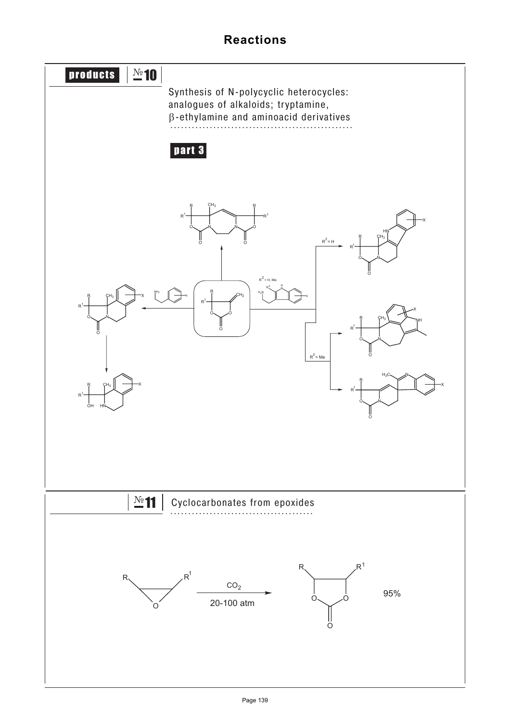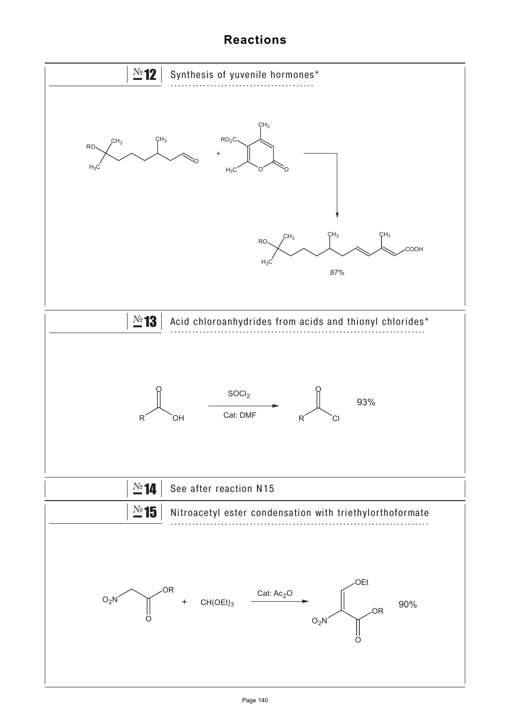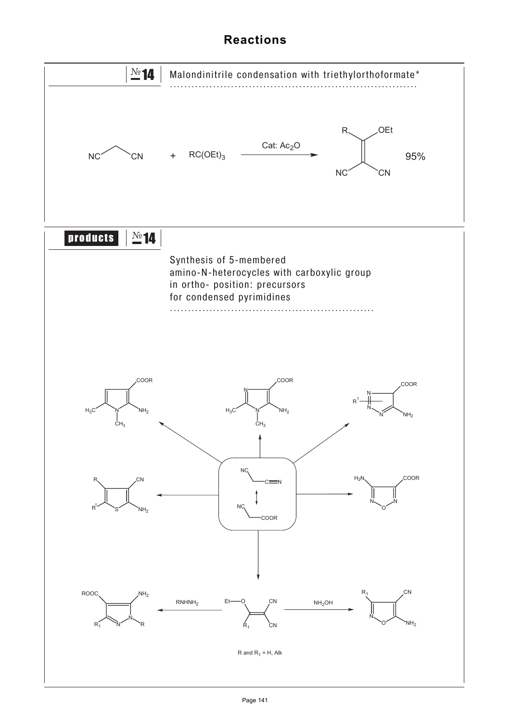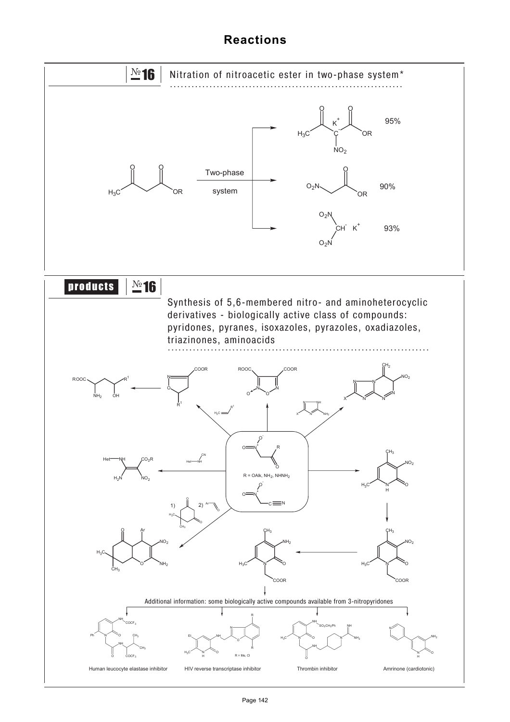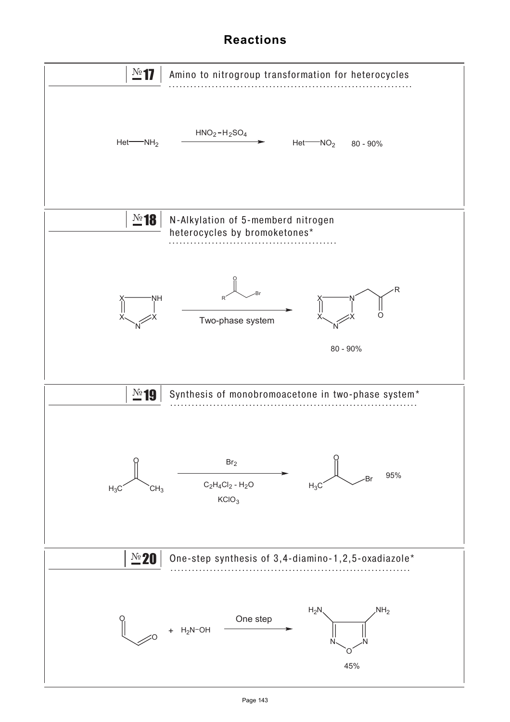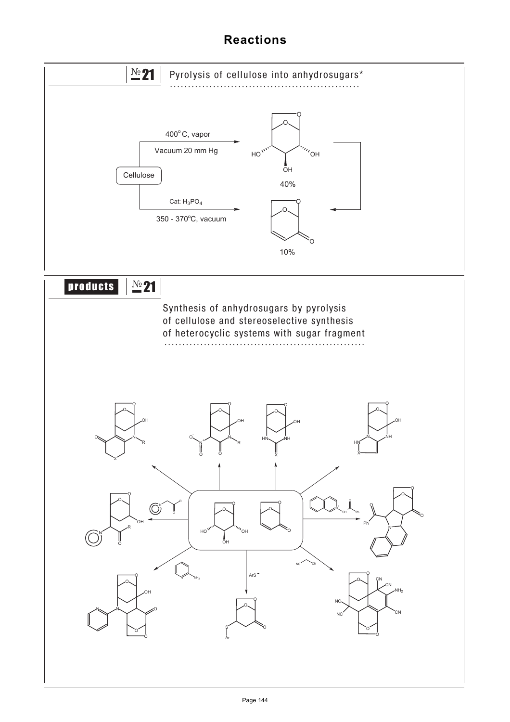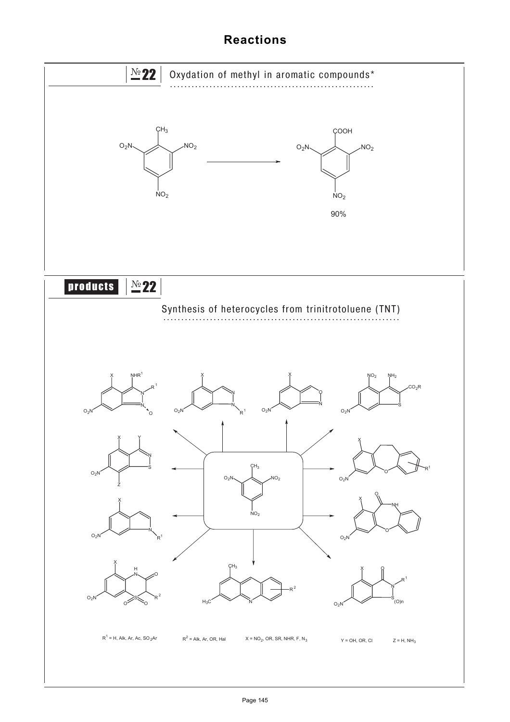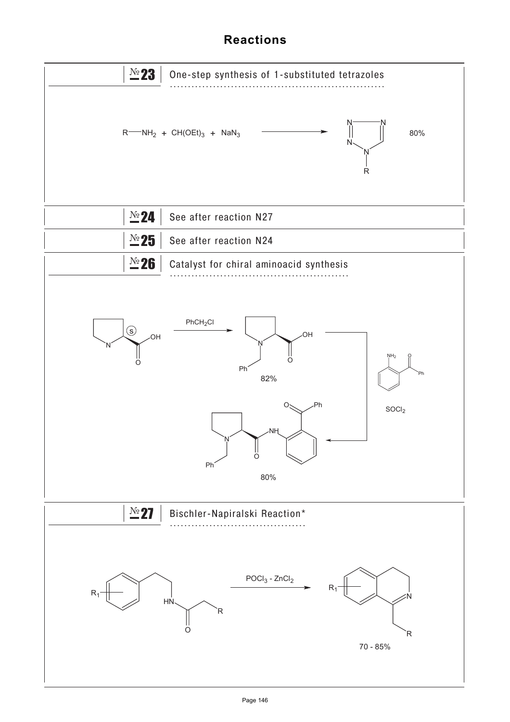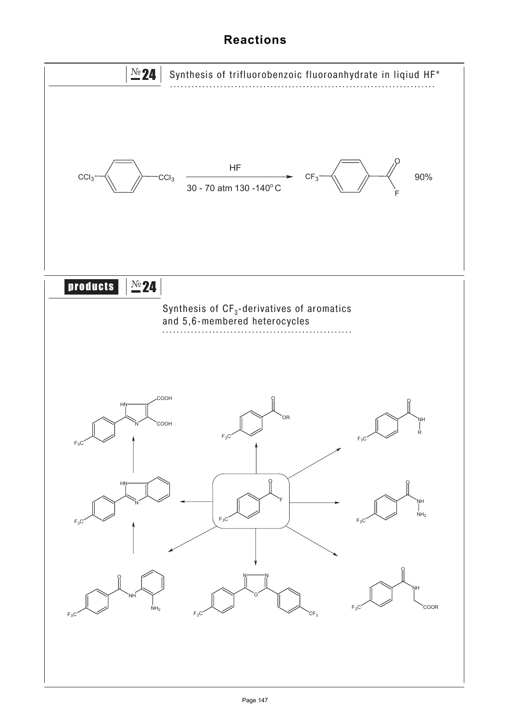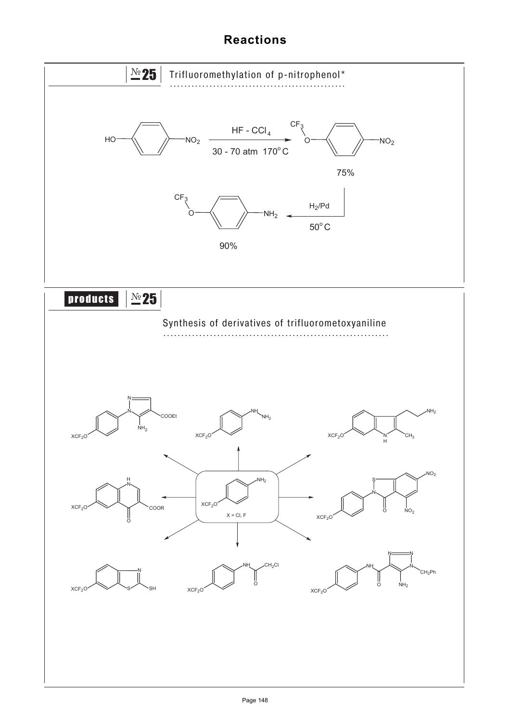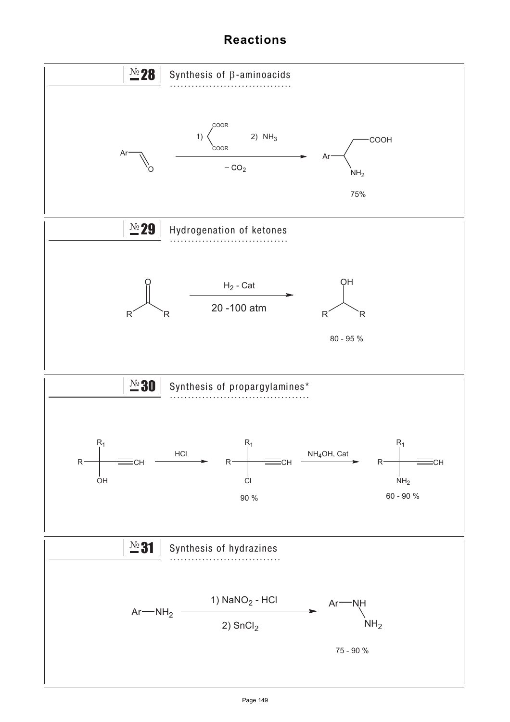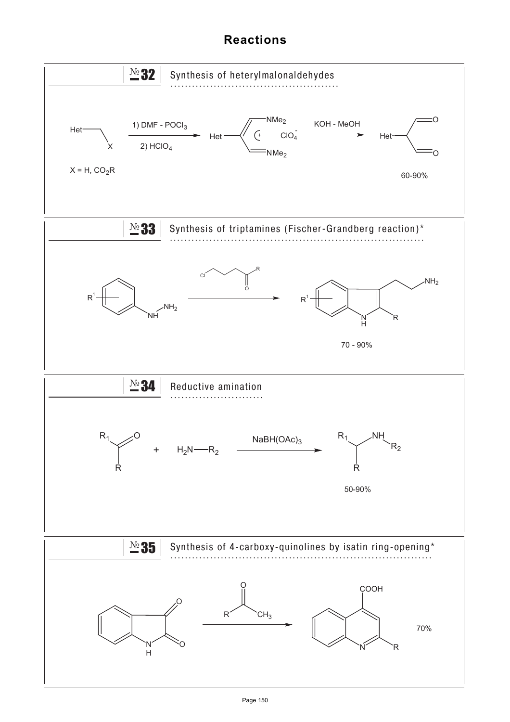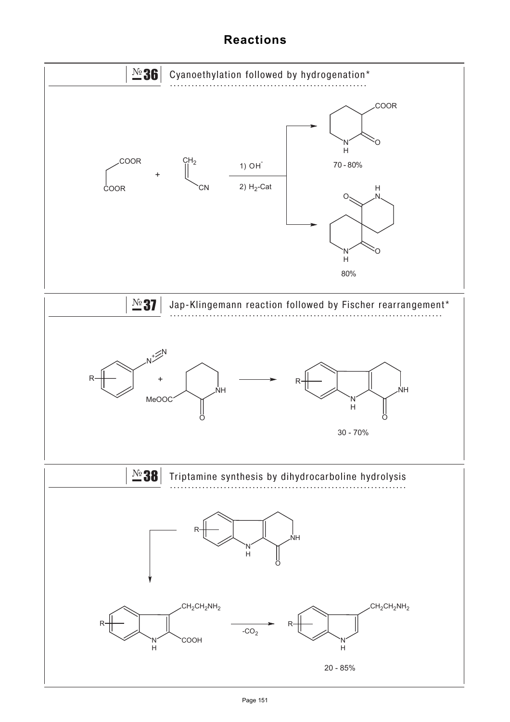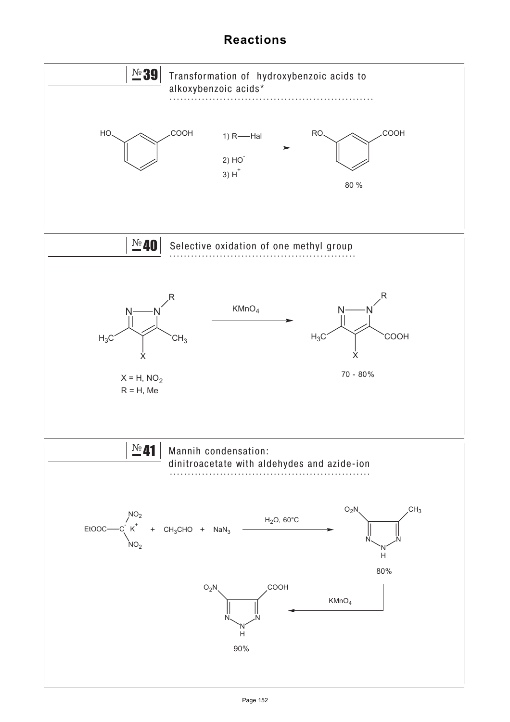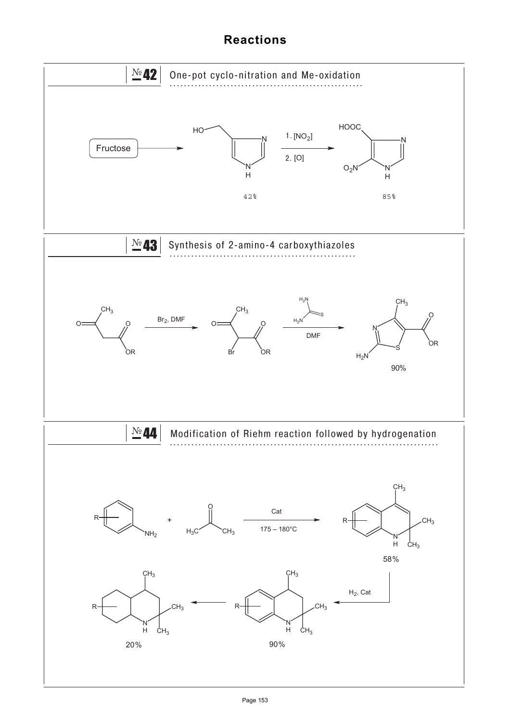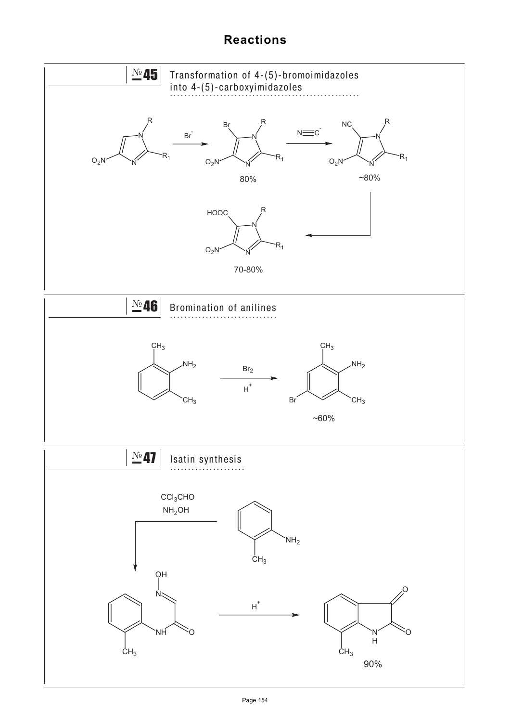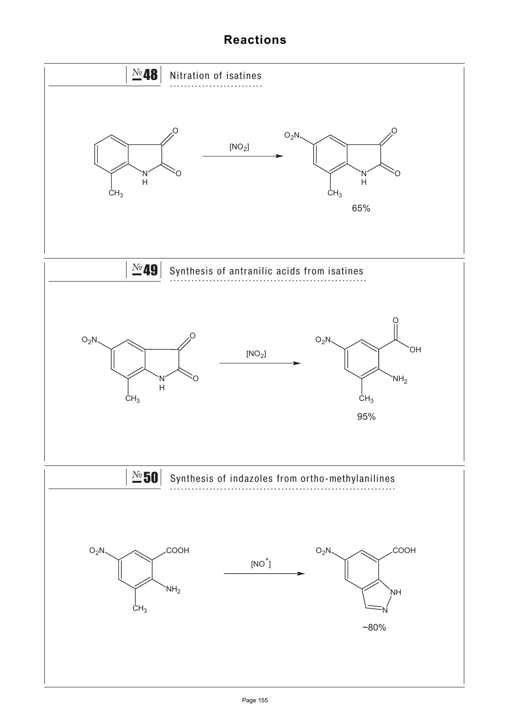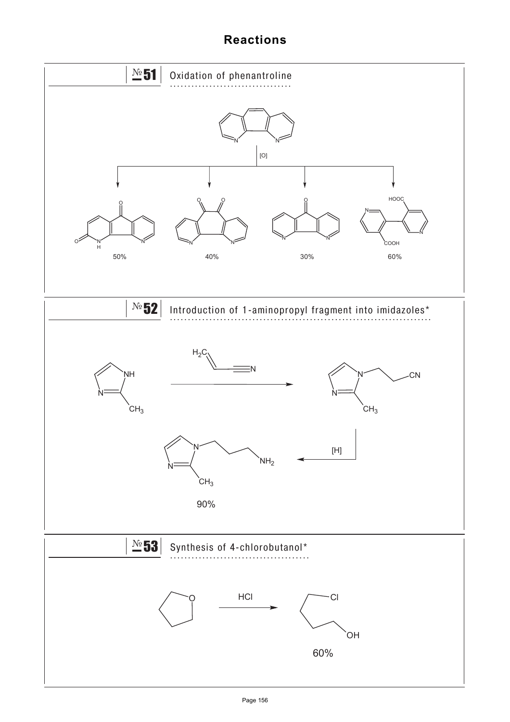